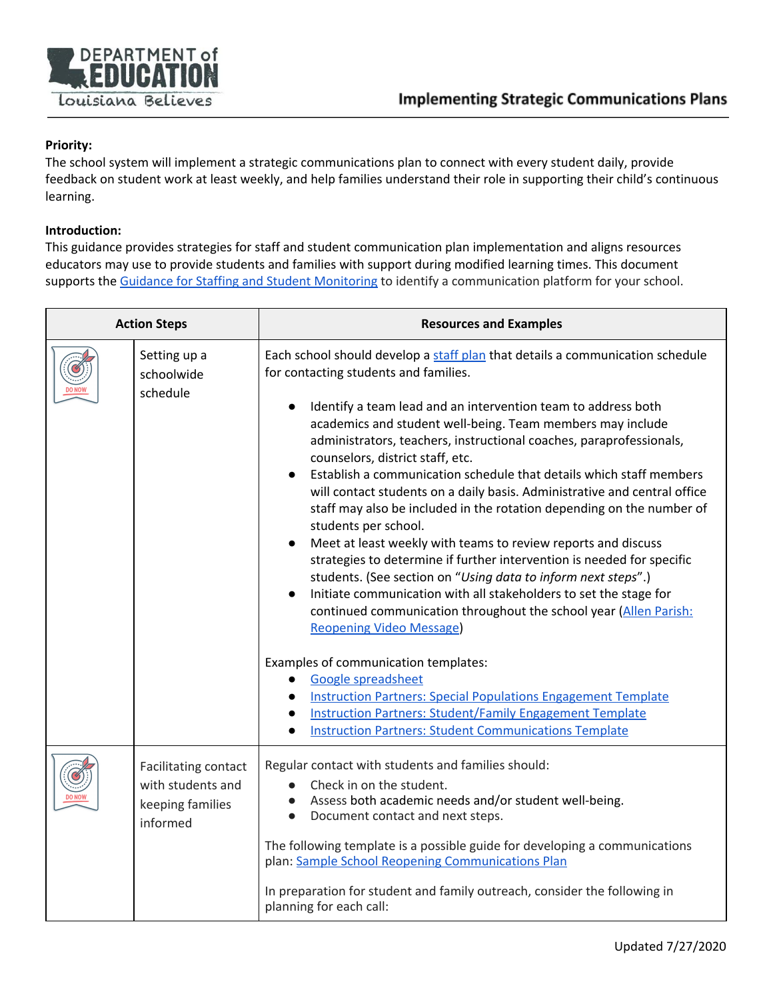

## **Priority:**

The school system will implement a strategic communications plan to connect with every student daily, provide feedback on student work at least weekly, and help families understand their role in supporting their child's continuous learning.

## **Introduction:**

This guidance provides strategies for staff and student communication plan implementation and aligns resources educators may use to provide students and families with support during modified learning times. This document supports the Guidance for Staffing and Student [Monitoring](https://www.louisianabelieves.com/docs/default-source/strong-start-2020/guidance-for-staffing-and-student-monitoring.pdf?sfvrsn=195b9b1f_12) to identify a communication platform for your school.

| <b>Action Steps</b> |                                                                                  | <b>Resources and Examples</b>                                                                                                                                                                                                                                                                                                                                                                                                                                                                                                                                                                                                                                                                                                                                                                                                                                                                                                                                                                                                                                                                 |
|---------------------|----------------------------------------------------------------------------------|-----------------------------------------------------------------------------------------------------------------------------------------------------------------------------------------------------------------------------------------------------------------------------------------------------------------------------------------------------------------------------------------------------------------------------------------------------------------------------------------------------------------------------------------------------------------------------------------------------------------------------------------------------------------------------------------------------------------------------------------------------------------------------------------------------------------------------------------------------------------------------------------------------------------------------------------------------------------------------------------------------------------------------------------------------------------------------------------------|
|                     | Setting up a<br>schoolwide<br>schedule                                           | Each school should develop a staff plan that details a communication schedule<br>for contacting students and families.                                                                                                                                                                                                                                                                                                                                                                                                                                                                                                                                                                                                                                                                                                                                                                                                                                                                                                                                                                        |
|                     |                                                                                  | Identify a team lead and an intervention team to address both<br>academics and student well-being. Team members may include<br>administrators, teachers, instructional coaches, paraprofessionals,<br>counselors, district staff, etc.<br>Establish a communication schedule that details which staff members<br>will contact students on a daily basis. Administrative and central office<br>staff may also be included in the rotation depending on the number of<br>students per school.<br>Meet at least weekly with teams to review reports and discuss<br>strategies to determine if further intervention is needed for specific<br>students. (See section on "Using data to inform next steps".)<br>Initiate communication with all stakeholders to set the stage for<br>continued communication throughout the school year (Allen Parish:<br><b>Reopening Video Message)</b><br>Examples of communication templates:<br>Google spreadsheet<br><b>Instruction Partners: Special Populations Engagement Template</b><br><b>Instruction Partners: Student/Family Engagement Template</b> |
|                     |                                                                                  | <b>Instruction Partners: Student Communications Template</b>                                                                                                                                                                                                                                                                                                                                                                                                                                                                                                                                                                                                                                                                                                                                                                                                                                                                                                                                                                                                                                  |
|                     | <b>Facilitating contact</b><br>with students and<br>keeping families<br>informed | Regular contact with students and families should:<br>Check in on the student.<br>Assess both academic needs and/or student well-being.<br>Document contact and next steps.<br>$\bullet$<br>The following template is a possible guide for developing a communications<br>plan: Sample School Reopening Communications Plan                                                                                                                                                                                                                                                                                                                                                                                                                                                                                                                                                                                                                                                                                                                                                                   |
|                     |                                                                                  | In preparation for student and family outreach, consider the following in<br>planning for each call:                                                                                                                                                                                                                                                                                                                                                                                                                                                                                                                                                                                                                                                                                                                                                                                                                                                                                                                                                                                          |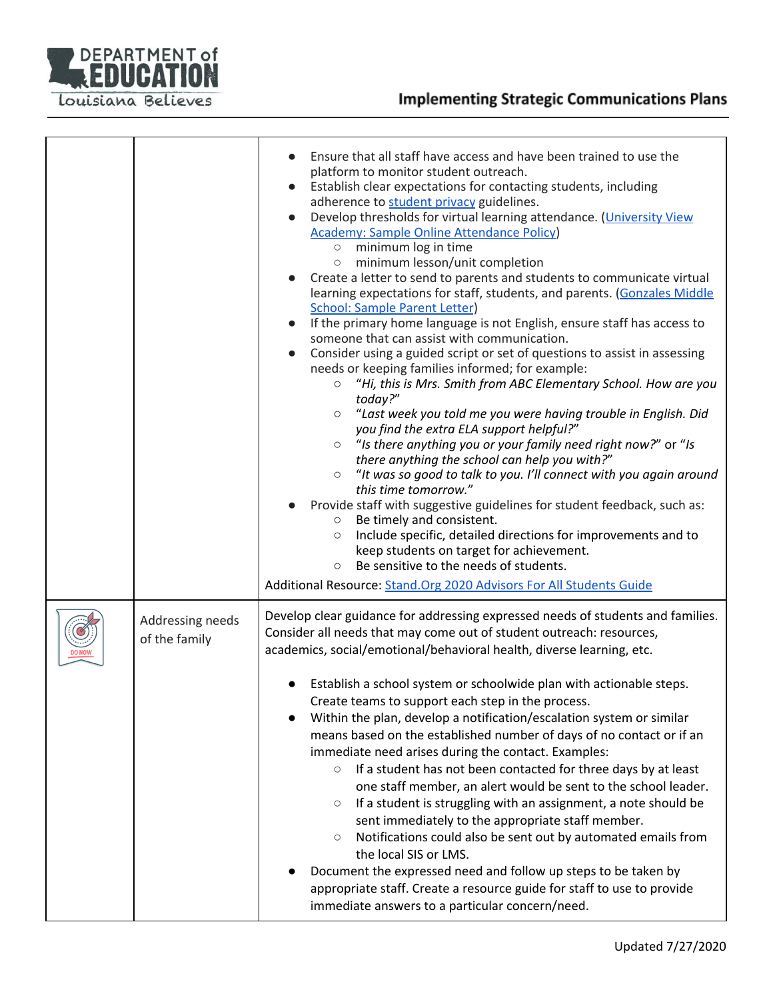

|                                   | Ensure that all staff have access and have been trained to use the<br>platform to monitor student outreach.<br>Establish clear expectations for contacting students, including<br>adherence to student privacy guidelines.<br>Develop thresholds for virtual learning attendance. (University View<br><b>Academy: Sample Online Attendance Policy)</b><br>minimum log in time<br>$\bigcirc$<br>minimum lesson/unit completion<br>$\circlearrowright$<br>Create a letter to send to parents and students to communicate virtual<br>learning expectations for staff, students, and parents. (Gonzales Middle<br><b>School: Sample Parent Letter)</b><br>If the primary home language is not English, ensure staff has access to<br>someone that can assist with communication.<br>Consider using a guided script or set of questions to assist in assessing<br>needs or keeping families informed; for example:<br>"Hi, this is Mrs. Smith from ABC Elementary School. How are you<br>$\circ$<br>today?"<br>"Last week you told me you were having trouble in English. Did<br>$\circ$<br>you find the extra ELA support helpful?"<br>"Is there anything you or your family need right now?" or "Is<br>$\circ$<br>there anything the school can help you with?"<br>"It was so good to talk to you. I'll connect with you again around<br>$\circ$<br>this time tomorrow."<br>Provide staff with suggestive guidelines for student feedback, such as:<br>Be timely and consistent.<br>$\circ$<br>Include specific, detailed directions for improvements and to<br>$\circlearrowright$<br>keep students on target for achievement.<br>Be sensitive to the needs of students.<br>$\circ$ |
|-----------------------------------|-----------------------------------------------------------------------------------------------------------------------------------------------------------------------------------------------------------------------------------------------------------------------------------------------------------------------------------------------------------------------------------------------------------------------------------------------------------------------------------------------------------------------------------------------------------------------------------------------------------------------------------------------------------------------------------------------------------------------------------------------------------------------------------------------------------------------------------------------------------------------------------------------------------------------------------------------------------------------------------------------------------------------------------------------------------------------------------------------------------------------------------------------------------------------------------------------------------------------------------------------------------------------------------------------------------------------------------------------------------------------------------------------------------------------------------------------------------------------------------------------------------------------------------------------------------------------------------------------------------------------------------------------------------------------------------|
| Addressing needs<br>of the family | Additional Resource: Stand. Org 2020 Advisors For All Students Guide<br>Develop clear guidance for addressing expressed needs of students and families.<br>Consider all needs that may come out of student outreach: resources,<br>academics, social/emotional/behavioral health, diverse learning, etc.<br>Establish a school system or schoolwide plan with actionable steps.<br>Create teams to support each step in the process.<br>Within the plan, develop a notification/escalation system or similar<br>means based on the established number of days of no contact or if an<br>immediate need arises during the contact. Examples:<br>If a student has not been contacted for three days by at least<br>$\bigcirc$<br>one staff member, an alert would be sent to the school leader.<br>If a student is struggling with an assignment, a note should be<br>$\bigcirc$<br>sent immediately to the appropriate staff member.<br>Notifications could also be sent out by automated emails from<br>$\circlearrowright$<br>the local SIS or LMS.<br>Document the expressed need and follow up steps to be taken by<br>appropriate staff. Create a resource guide for staff to use to provide<br>immediate answers to a particular concern/need.                                                                                                                                                                                                                                                                                                                                                                                                                               |